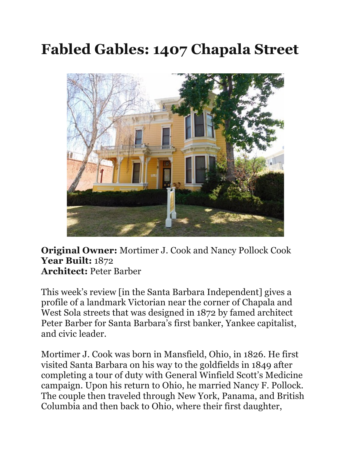## **Fabled Gables: 1407 Chapala Street**



**Original Owner:** Mortimer J. Cook and Nancy Pollock Cook **Year Built:** 1872 **Architect:** Peter Barber

This week's review [in the Santa Barbara Independent] gives a profile of a landmark Victorian near the corner of Chapala and West Sola streets that was designed in 1872 by famed architect Peter Barber for Santa Barbara's first banker, Yankee capitalist, and civic leader.

Mortimer J. Cook was born in Mansfield, Ohio, in 1826. He first visited Santa Barbara on his way to the goldfields in 1849 after completing a tour of duty with General Winfield Scott's Medicine campaign. Upon his return to Ohio, he married Nancy F. Pollock. The couple then traveled through New York, Panama, and British Columbia and then back to Ohio, where their first daughter,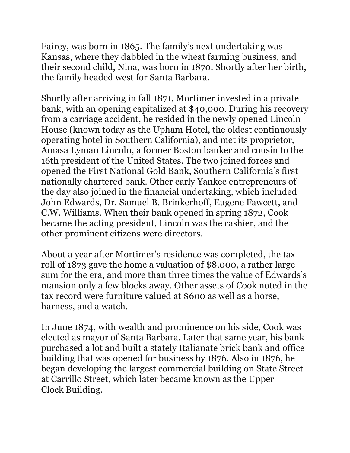Fairey, was born in 1865. The family's next undertaking was Kansas, where they dabbled in the wheat farming business, and their second child, Nina, was born in 1870. Shortly after her birth, the family headed west for Santa Barbara.

Shortly after arriving in fall 1871, Mortimer invested in a private bank, with an opening capitalized at \$40,000. During his recovery from a carriage accident, he resided in the newly opened Lincoln House (known today as the Upham Hotel, the oldest continuously operating hotel in Southern California), and met its proprietor, Amasa Lyman Lincoln, a former Boston banker and cousin to the 16th president of the United States. The two joined forces and opened the First National Gold Bank, Southern California's first nationally chartered bank. Other early Yankee entrepreneurs of the day also joined in the financial undertaking, which included John Edwards, Dr. Samuel B. Brinkerhoff, Eugene Fawcett, and C.W. Williams. When their bank opened in spring 1872, Cook became the acting president, Lincoln was the cashier, and the other prominent citizens were directors.

About a year after Mortimer's residence was completed, the tax roll of 1873 gave the home a valuation of \$8,000, a rather large sum for the era, and more than three times the value of Edwards's mansion only a few blocks away. Other assets of Cook noted in the tax record were furniture valued at \$600 as well as a horse, harness, and a watch.

In June 1874, with wealth and prominence on his side, Cook was elected as mayor of Santa Barbara. Later that same year, his bank purchased a lot and built a stately Italianate brick bank and office building that was opened for business by 1876. Also in 1876, he began developing the largest commercial building on State Street at Carrillo Street, which later became known as the Upper Clock Building.